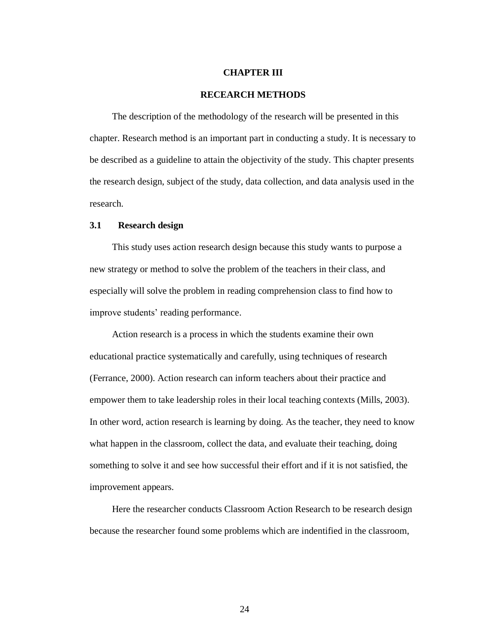### **CHAPTER III**

### **RECEARCH METHODS**

The description of the methodology of the research will be presented in this chapter. Research method is an important part in conducting a study. It is necessary to be described as a guideline to attain the objectivity of the study. This chapter presents the research design, subject of the study, data collection, and data analysis used in the research.

## **3.1 Research design**

This study uses action research design because this study wants to purpose a new strategy or method to solve the problem of the teachers in their class, and especially will solve the problem in reading comprehension class to find how to improve students' reading performance.

Action research is a process in which the students examine their own educational practice systematically and carefully, using techniques of research (Ferrance, 2000). Action research can inform teachers about their practice and empower them to take leadership roles in their local teaching contexts (Mills, 2003). In other word, action research is learning by doing. As the teacher, they need to know what happen in the classroom, collect the data, and evaluate their teaching, doing something to solve it and see how successful their effort and if it is not satisfied, the improvement appears.

Here the researcher conducts Classroom Action Research to be research design because the researcher found some problems which are indentified in the classroom,

24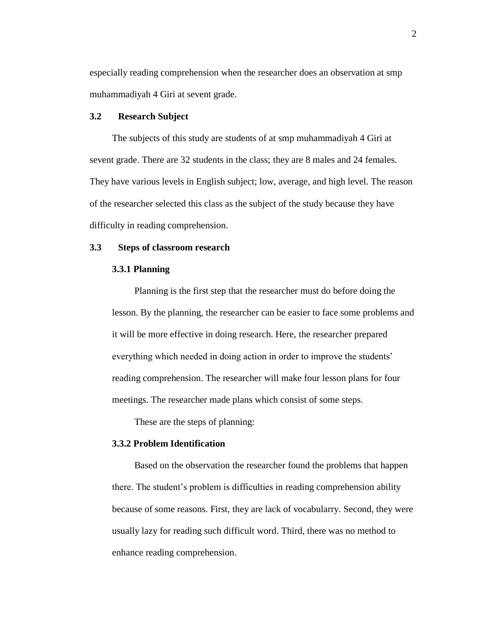especially reading comprehension when the researcher does an observation at smp muhammadiyah 4 Giri at sevent grade.

### **3.2 Research Subject**

The subjects of this study are students of at smp muhammadiyah 4 Giri at sevent grade. There are 32 students in the class; they are 8 males and 24 females. They have various levels in English subject; low, average, and high level. The reason of the researcher selected this class as the subject of the study because they have difficulty in reading comprehension.

## **3.3 Steps of classroom research**

### **3.3.1 Planning**

Planning is the first step that the researcher must do before doing the lesson. By the planning, the researcher can be easier to face some problems and it will be more effective in doing research. Here, the researcher prepared everything which needed in doing action in order to improve the students' reading comprehension. The researcher will make four lesson plans for four meetings. The researcher made plans which consist of some steps.

These are the steps of planning:

# **3.3.2 Problem Identification**

Based on the observation the researcher found the problems that happen there. The student's problem is difficulties in reading comprehension ability because of some reasons. First, they are lack of vocabularry. Second, they were usually lazy for reading such difficult word. Third, there was no method to enhance reading comprehension.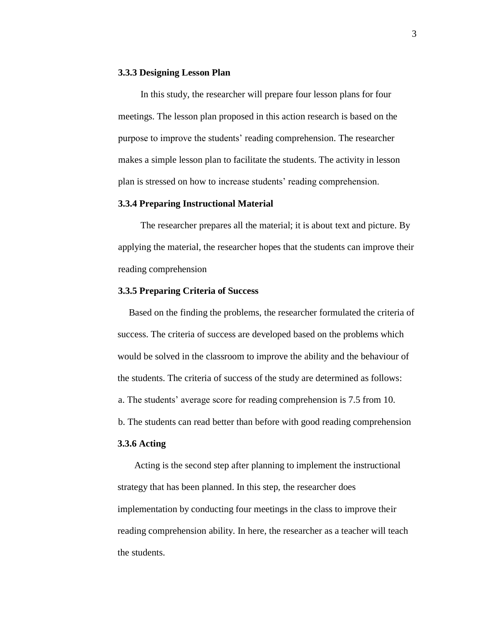#### **3.3.3 Designing Lesson Plan**

In this study, the researcher will prepare four lesson plans for four meetings. The lesson plan proposed in this action research is based on the purpose to improve the students' reading comprehension. The researcher makes a simple lesson plan to facilitate the students. The activity in lesson plan is stressed on how to increase students' reading comprehension.

### **3.3.4 Preparing Instructional Material**

The researcher prepares all the material; it is about text and picture. By applying the material, the researcher hopes that the students can improve their reading comprehension

## **3.3.5 Preparing Criteria of Success**

Based on the finding the problems, the researcher formulated the criteria of success. The criteria of success are developed based on the problems which would be solved in the classroom to improve the ability and the behaviour of the students. The criteria of success of the study are determined as follows: a. The students' average score for reading comprehension is 7.5 from 10. b. The students can read better than before with good reading comprehension

# **3.3.6 Acting**

Acting is the second step after planning to implement the instructional strategy that has been planned. In this step, the researcher does implementation by conducting four meetings in the class to improve their reading comprehension ability. In here, the researcher as a teacher will teach the students.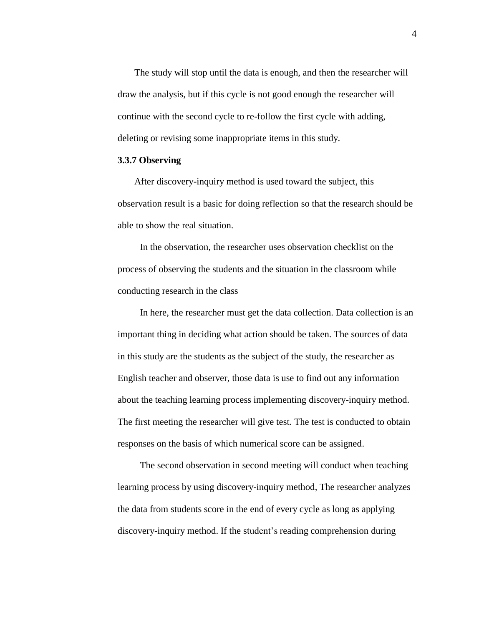The study will stop until the data is enough, and then the researcher will draw the analysis, but if this cycle is not good enough the researcher will continue with the second cycle to re-follow the first cycle with adding, deleting or revising some inappropriate items in this study.

## **3.3.7 Observing**

After discovery-inquiry method is used toward the subject, this observation result is a basic for doing reflection so that the research should be able to show the real situation.

In the observation, the researcher uses observation checklist on the process of observing the students and the situation in the classroom while conducting research in the class

In here, the researcher must get the data collection. Data collection is an important thing in deciding what action should be taken. The sources of data in this study are the students as the subject of the study, the researcher as English teacher and observer, those data is use to find out any information about the teaching learning process implementing discovery-inquiry method. The first meeting the researcher will give test. The test is conducted to obtain responses on the basis of which numerical score can be assigned.

The second observation in second meeting will conduct when teaching learning process by using discovery-inquiry method, The researcher analyzes the data from students score in the end of every cycle as long as applying discovery-inquiry method. If the student's reading comprehension during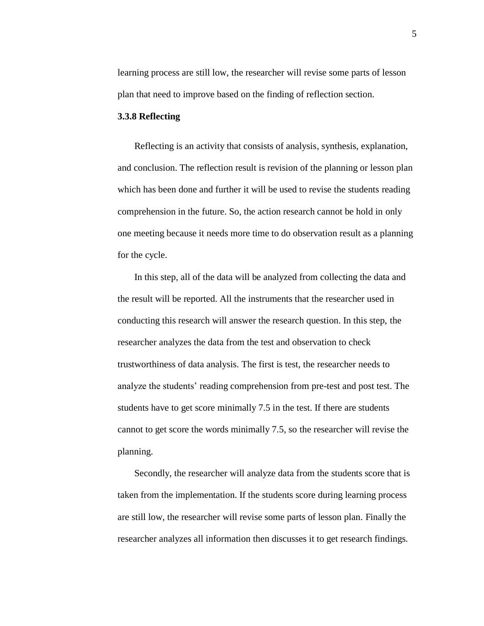learning process are still low, the researcher will revise some parts of lesson plan that need to improve based on the finding of reflection section.

### **3.3.8 Reflecting**

Reflecting is an activity that consists of analysis, synthesis, explanation, and conclusion. The reflection result is revision of the planning or lesson plan which has been done and further it will be used to revise the students reading comprehension in the future. So, the action research cannot be hold in only one meeting because it needs more time to do observation result as a planning for the cycle.

In this step, all of the data will be analyzed from collecting the data and the result will be reported. All the instruments that the researcher used in conducting this research will answer the research question. In this step, the researcher analyzes the data from the test and observation to check trustworthiness of data analysis. The first is test, the researcher needs to analyze the students' reading comprehension from pre-test and post test. The students have to get score minimally 7.5 in the test. If there are students cannot to get score the words minimally 7.5, so the researcher will revise the planning.

Secondly, the researcher will analyze data from the students score that is taken from the implementation. If the students score during learning process are still low, the researcher will revise some parts of lesson plan. Finally the researcher analyzes all information then discusses it to get research findings.